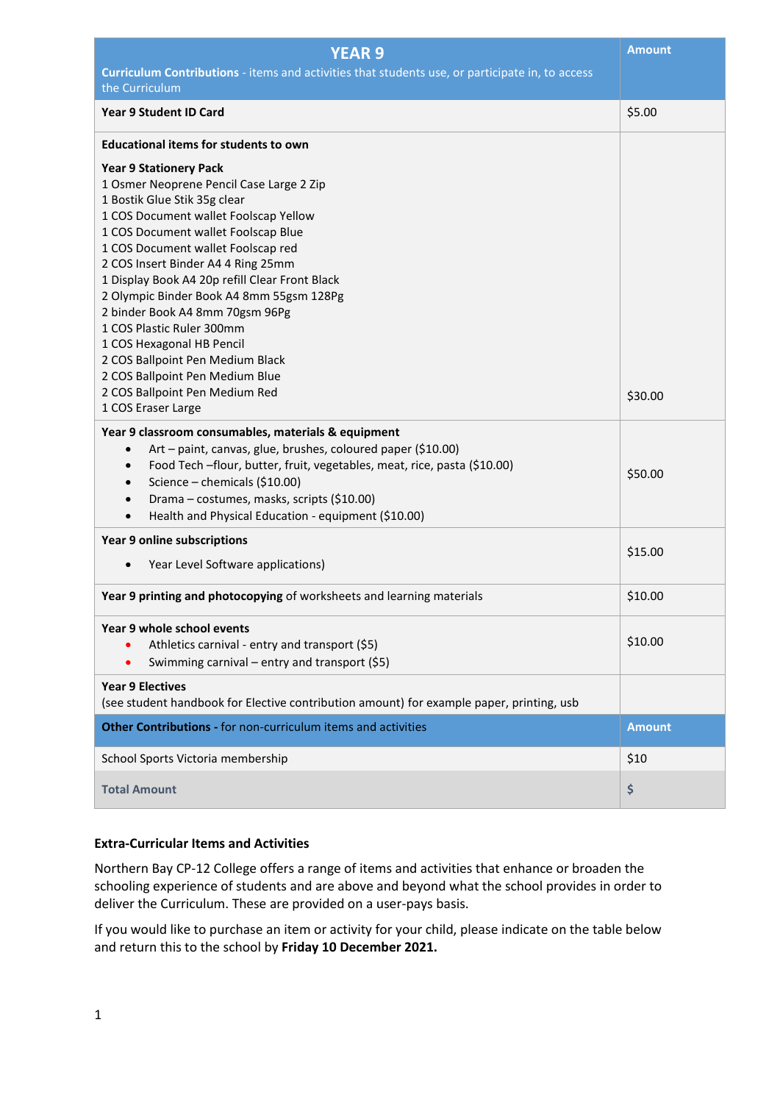| <b>YEAR 9</b>                                                                                                                                                                                                                                                                                                                                                                                                                                                    | <b>Amount</b> |
|------------------------------------------------------------------------------------------------------------------------------------------------------------------------------------------------------------------------------------------------------------------------------------------------------------------------------------------------------------------------------------------------------------------------------------------------------------------|---------------|
| Curriculum Contributions - items and activities that students use, or participate in, to access                                                                                                                                                                                                                                                                                                                                                                  |               |
| the Curriculum                                                                                                                                                                                                                                                                                                                                                                                                                                                   |               |
| <b>Year 9 Student ID Card</b>                                                                                                                                                                                                                                                                                                                                                                                                                                    | \$5.00        |
| <b>Educational items for students to own</b>                                                                                                                                                                                                                                                                                                                                                                                                                     |               |
| <b>Year 9 Stationery Pack</b><br>1 Osmer Neoprene Pencil Case Large 2 Zip<br>1 Bostik Glue Stik 35g clear<br>1 COS Document wallet Foolscap Yellow<br>1 COS Document wallet Foolscap Blue<br>1 COS Document wallet Foolscap red<br>2 COS Insert Binder A4 4 Ring 25mm<br>1 Display Book A4 20p refill Clear Front Black<br>2 Olympic Binder Book A4 8mm 55gsm 128Pg<br>2 binder Book A4 8mm 70gsm 96Pg<br>1 COS Plastic Ruler 300mm<br>1 COS Hexagonal HB Pencil |               |
| 2 COS Ballpoint Pen Medium Black<br>2 COS Ballpoint Pen Medium Blue<br>2 COS Ballpoint Pen Medium Red<br>1 COS Eraser Large                                                                                                                                                                                                                                                                                                                                      | \$30.00       |
| Year 9 classroom consumables, materials & equipment<br>Art - paint, canvas, glue, brushes, coloured paper (\$10.00)<br>$\bullet$<br>Food Tech -flour, butter, fruit, vegetables, meat, rice, pasta (\$10.00)<br>$\bullet$<br>Science - chemicals (\$10.00)<br>$\bullet$<br>Drama - costumes, masks, scripts (\$10.00)<br>$\bullet$<br>Health and Physical Education - equipment (\$10.00)<br>$\bullet$                                                           | \$50.00       |
| Year 9 online subscriptions<br>Year Level Software applications)<br>$\bullet$                                                                                                                                                                                                                                                                                                                                                                                    | \$15.00       |
| Year 9 printing and photocopying of worksheets and learning materials                                                                                                                                                                                                                                                                                                                                                                                            | \$10.00       |
| Year 9 whole school events<br>Athletics carnival - entry and transport (\$5)<br>Swimming carnival - entry and transport (\$5)                                                                                                                                                                                                                                                                                                                                    | \$10.00       |
| <b>Year 9 Electives</b><br>(see student handbook for Elective contribution amount) for example paper, printing, usb                                                                                                                                                                                                                                                                                                                                              |               |
| <b>Other Contributions - for non-curriculum items and activities</b>                                                                                                                                                                                                                                                                                                                                                                                             | <b>Amount</b> |
| School Sports Victoria membership                                                                                                                                                                                                                                                                                                                                                                                                                                | \$10          |
| <b>Total Amount</b>                                                                                                                                                                                                                                                                                                                                                                                                                                              | \$            |

## **Extra-Curricular Items and Activities**

Northern Bay CP-12 College offers a range of items and activities that enhance or broaden the schooling experience of students and are above and beyond what the school provides in order to deliver the Curriculum. These are provided on a user-pays basis.

If you would like to purchase an item or activity for your child, please indicate on the table below and return this to the school by **Friday 10 December 2021.**